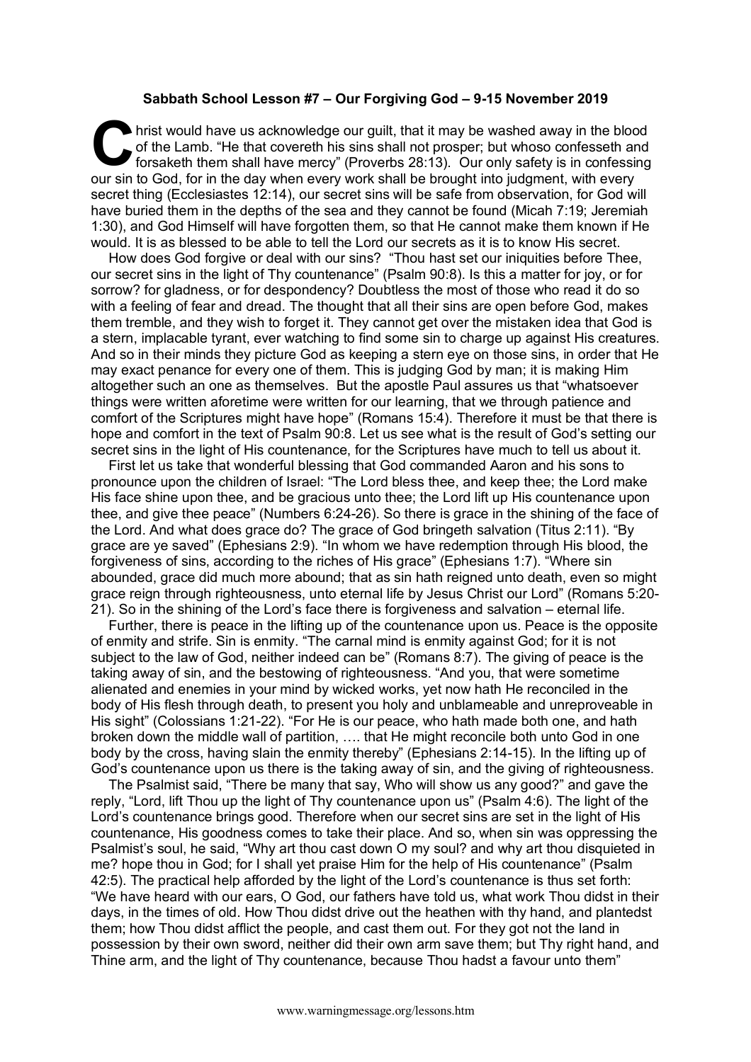## **Sabbath School Lesson #7 – Our Forgiving God – 9-15 November 2019**

hrist would have us acknowledge our guilt, that it may be washed away in the blood of the Lamb. "He that covereth his sins shall not prosper; but whoso confesseth and forsaketh them shall have mercy" (Proverbs 28:13). Our of the Lamb. "He that covereth his sins shall not prosper; but whoso confesseth and forsaketh them shall have mercy" (Proverbs 28:13). Our only safety is in confessing our sin to God, for in the day when every work shall be brought into judgment, with every secret thing (Ecclesiastes 12:14), our secret sins will be safe from observation, for God will have buried them in the depths of the sea and they cannot be found (Micah 7:19; Jeremiah 1:30), and God Himself will have forgotten them, so that He cannot make them known if He would. It is as blessed to be able to tell the Lord our secrets as it is to know His secret.

How does God forgive or deal with our sins? "Thou hast set our iniquities before Thee, our secret sins in the light of Thy countenance" (Psalm 90:8). Is this a matter for joy, or for sorrow? for gladness, or for despondency? Doubtless the most of those who read it do so with a feeling of fear and dread. The thought that all their sins are open before God, makes them tremble, and they wish to forget it. They cannot get over the mistaken idea that God is a stern, implacable tyrant, ever watching to find some sin to charge up against His creatures. And so in their minds they picture God as keeping a stern eye on those sins, in order that He may exact penance for every one of them. This is judging God by man; it is making Him altogether such an one as themselves. But the apostle Paul assures us that "whatsoever things were written aforetime were written for our learning, that we through patience and comfort of the Scriptures might have hope" (Romans 15:4). Therefore it must be that there is hope and comfort in the text of Psalm 90:8. Let us see what is the result of God's setting our secret sins in the light of His countenance, for the Scriptures have much to tell us about it.

First let us take that wonderful blessing that God commanded Aaron and his sons to pronounce upon the children of Israel: "The Lord bless thee, and keep thee; the Lord make His face shine upon thee, and be gracious unto thee; the Lord lift up His countenance upon thee, and give thee peace" (Numbers 6:24-26). So there is grace in the shining of the face of the Lord. And what does grace do? The grace of God bringeth salvation (Titus 2:11). "By grace are ye saved" (Ephesians 2:9). "In whom we have redemption through His blood, the forgiveness of sins, according to the riches of His grace" (Ephesians 1:7). "Where sin abounded, grace did much more abound; that as sin hath reigned unto death, even so might grace reign through righteousness, unto eternal life by Jesus Christ our Lord" (Romans 5:20- 21). So in the shining of the Lord's face there is forgiveness and salvation – eternal life.

Further, there is peace in the lifting up of the countenance upon us. Peace is the opposite of enmity and strife. Sin is enmity. "The carnal mind is enmity against God; for it is not subject to the law of God, neither indeed can be" (Romans 8:7). The giving of peace is the taking away of sin, and the bestowing of righteousness. "And you, that were sometime alienated and enemies in your mind by wicked works, yet now hath He reconciled in the body of His flesh through death, to present you holy and unblameable and unreproveable in His sight" (Colossians 1:21-22). "For He is our peace, who hath made both one, and hath broken down the middle wall of partition, …. that He might reconcile both unto God in one body by the cross, having slain the enmity thereby" (Ephesians 2:14-15). In the lifting up of God's countenance upon us there is the taking away of sin, and the giving of righteousness.

The Psalmist said, "There be many that say, Who will show us any good?" and gave the reply, "Lord, lift Thou up the light of Thy countenance upon us" (Psalm 4:6). The light of the Lord's countenance brings good. Therefore when our secret sins are set in the light of His countenance, His goodness comes to take their place. And so, when sin was oppressing the Psalmist's soul, he said, "Why art thou cast down O my soul? and why art thou disquieted in me? hope thou in God; for I shall yet praise Him for the help of His countenance" (Psalm 42:5). The practical help afforded by the light of the Lord's countenance is thus set forth: "We have heard with our ears, O God, our fathers have told us, what work Thou didst in their days, in the times of old. How Thou didst drive out the heathen with thy hand, and plantedst them; how Thou didst afflict the people, and cast them out. For they got not the land in possession by their own sword, neither did their own arm save them; but Thy right hand, and Thine arm, and the light of Thy countenance, because Thou hadst a favour unto them"